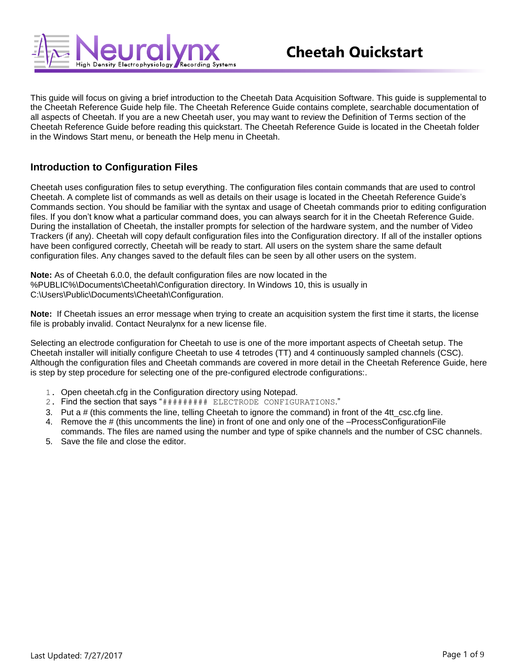

This guide will focus on giving a brief introduction to the Cheetah Data Acquisition Software. This guide is supplemental to the Cheetah Reference Guide help file. The Cheetah Reference Guide contains complete, searchable documentation of all aspects of Cheetah. If you are a new Cheetah user, you may want to review the Definition of Terms section of the Cheetah Reference Guide before reading this quickstart. The Cheetah Reference Guide is located in the Cheetah folder in the Windows Start menu, or beneath the Help menu in Cheetah.

# **Introduction to Configuration Files**

Cheetah uses configuration files to setup everything. The configuration files contain commands that are used to control Cheetah. A complete list of commands as well as details on their usage is located in the Cheetah Reference Guide's Commands section. You should be familiar with the syntax and usage of Cheetah commands prior to editing configuration files. If you don't know what a particular command does, you can always search for it in the Cheetah Reference Guide. During the installation of Cheetah, the installer prompts for selection of the hardware system, and the number of Video Trackers (if any). Cheetah will copy default configuration files into the Configuration directory. If all of the installer options have been configured correctly, Cheetah will be ready to start. All users on the system share the same default configuration files. Any changes saved to the default files can be seen by all other users on the system.

**Note:** As of Cheetah 6.0.0, the default configuration files are now located in the %PUBLIC%\Documents\Cheetah\Configuration directory. In Windows 10, this is usually in C:\Users\Public\Documents\Cheetah\Configuration.

**Note:** If Cheetah issues an error message when trying to create an acquisition system the first time it starts, the license file is probably invalid. Contact Neuralynx for a new license file.

Selecting an electrode configuration for Cheetah to use is one of the more important aspects of Cheetah setup. The Cheetah installer will initially configure Cheetah to use 4 tetrodes (TT) and 4 continuously sampled channels (CSC). Although the configuration files and Cheetah commands are covered in more detail in the Cheetah Reference Guide, here is step by step procedure for selecting one of the pre-configured electrode configurations:.

- 1. Open cheetah.cfg in the Configuration directory using Notepad.
- 2. Find the section that says "######### ELECTRODE CONFIGURATIONS."
- 3. Put a # (this comments the line, telling Cheetah to ignore the command) in front of the 4tt\_csc.cfg line.
- 4. Remove the # (this uncomments the line) in front of one and only one of the –ProcessConfigurationFile commands. The files are named using the number and type of spike channels and the number of CSC channels.
- 5. Save the file and close the editor.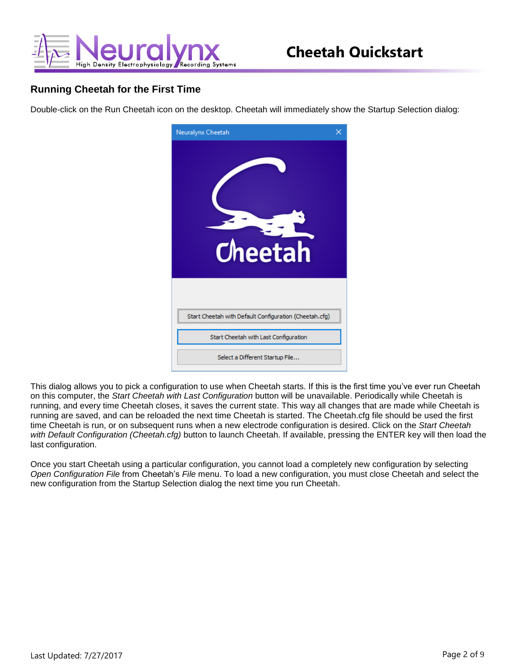

### **Running Cheetah for the First Time**

Double-click on the Run Cheetah icon on the desktop. Cheetah will immediately show the Startup Selection dialog:



This dialog allows you to pick a configuration to use when Cheetah starts. If this is the first time you've ever run Cheetah on this computer, the *Start Cheetah with Last Configuration* button will be unavailable. Periodically while Cheetah is running, and every time Cheetah closes, it saves the current state. This way all changes that are made while Cheetah is running are saved, and can be reloaded the next time Cheetah is started. The Cheetah.cfg file should be used the first time Cheetah is run, or on subsequent runs when a new electrode configuration is desired. Click on the *Start Cheetah with Default Configuration (Cheetah.cfg)* button to launch Cheetah. If available, pressing the ENTER key will then load the last configuration.

Once you start Cheetah using a particular configuration, you cannot load a completely new configuration by selecting *Open Configuration File* from Cheetah's *File* menu. To load a new configuration, you must close Cheetah and select the new configuration from the Startup Selection dialog the next time you run Cheetah.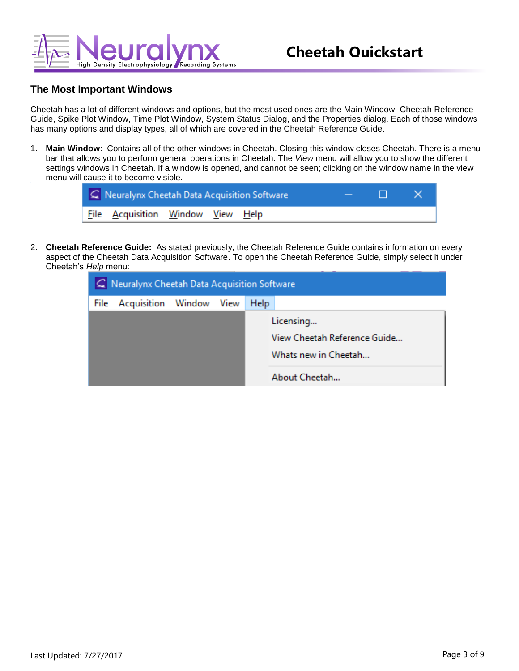

#### **The Most Important Windows**

Cheetah has a lot of different windows and options, but the most used ones are the Main Window, Cheetah Reference Guide, Spike Plot Window, Time Plot Window, System Status Dialog, and the Properties dialog. Each of those windows has many options and display types, all of which are covered in the Cheetah Reference Guide.

1. **Main Window**: Contains all of the other windows in Cheetah. Closing this window closes Cheetah. There is a menu bar that allows you to perform general operations in Cheetah. The *View* menu will allow you to show the different settings windows in Cheetah. If a window is opened, and cannot be seen; clicking on the window name in the view menu will cause it to become visible.

| $C$ Neuralynx Cheetah Data Acquisition Software |  |  |  |
|-------------------------------------------------|--|--|--|
| File Acquisition Window View Help               |  |  |  |

2. **Cheetah Reference Guide:** As stated previously, the Cheetah Reference Guide contains information on every aspect of the Cheetah Data Acquisition Software. To open the Cheetah Reference Guide, simply select it under Cheetah's *Help* menu:

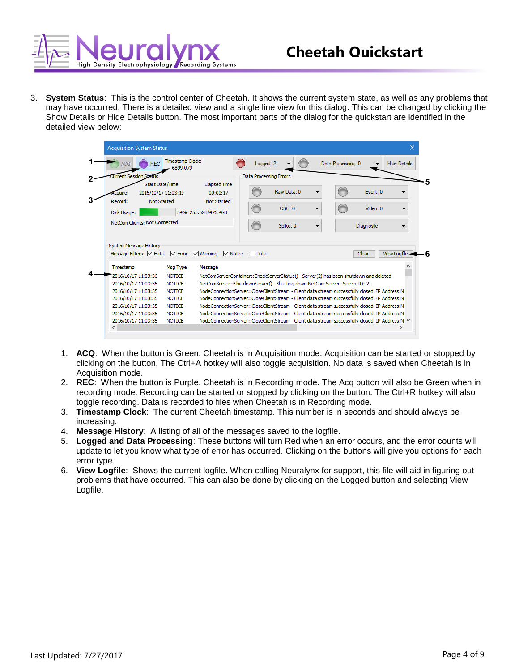

3. **System Status**: This is the control center of Cheetah. It shows the current system state, as well as any problems that may have occurred. There is a detailed view and a single line view for this dialog. This can be changed by clicking the Show Details or Hide Details button. The most important parts of the dialog for the quickstart are identified in the detailed view below:

| <b>Acquisition System Status</b>                   |                                |                     |                                                                                                                                                                     |                    |                     |
|----------------------------------------------------|--------------------------------|---------------------|---------------------------------------------------------------------------------------------------------------------------------------------------------------------|--------------------|---------------------|
| <b>REC</b>                                         | Timestamp Clock:<br>6899.079   |                     | Logged: 2                                                                                                                                                           | Data Processing: 0 | <b>Hide Details</b> |
| <b>Urrent Session Sta</b>                          |                                |                     | Data Processing Errors                                                                                                                                              |                    |                     |
| Start Date/Time                                    |                                | <b>Elapsed Time</b> |                                                                                                                                                                     |                    |                     |
| 2016/10/17 11:03:19<br><i>couire:</i>              |                                | 00:00:17            | Raw Data: 0                                                                                                                                                         | Event: 0           |                     |
| Record:<br><b>Not Started</b>                      |                                | Not Started         | CSC:0                                                                                                                                                               | Video: 0           |                     |
| Disk Usage:                                        |                                | 54% 255.5GB/476.4GB |                                                                                                                                                                     |                    |                     |
| NetCom Clients: Not Connected                      |                                |                     | Spike: 0                                                                                                                                                            | <b>Diagnostic</b>  |                     |
|                                                    |                                |                     |                                                                                                                                                                     |                    |                     |
|                                                    |                                |                     |                                                                                                                                                                     |                    |                     |
| System Message History<br>Message Filters: V Fatal | <b>⊘</b> Error ⊘ Warning       | $\vee$ Notice       | Data                                                                                                                                                                | Clear              | <b>View Logfile</b> |
| Timestamp                                          | Msg Type                       | Message             |                                                                                                                                                                     |                    |                     |
| 2016/10/17 11:03:36<br>2016/10/17 11:03:36         | <b>NOTICE</b><br><b>NOTICE</b> |                     | NetComServerContainer::CheckServerStatus() - Server(2) has been shutdown and deleted<br>NetComServer::ShutdownServer() - Shutting down NetCom Server, Server ID: 2. |                    |                     |
| 2016/10/17 11:03:35                                | <b>NOTICE</b>                  |                     | NodeConnectionServer::CloseClientStream - Client data stream successfully closed. IP Address:No                                                                     |                    |                     |
| 2016/10/17 11:03:35                                | <b>NOTICE</b>                  |                     | NodeConnectionServer::CloseClientStream - Client data stream successfully closed. IP Address:No                                                                     |                    |                     |
| 2016/10/17 11:03:35                                | <b>NOTICE</b>                  |                     | NodeConnectionServer::CloseClientStream - Client data stream successfully closed. IP Address:No                                                                     |                    |                     |
| 2016/10/17 11:03:35                                | <b>NOTICE</b>                  |                     | NodeConnectionServer::CloseClientStream - Client data stream successfully closed. IP Address:No                                                                     |                    |                     |
| 2016/10/17 11:03:35<br>∢                           | <b>NOTICE</b>                  |                     | NodeConnectionServer::CloseClientStream - Client data stream successfully closed. IP Address:N: ∨                                                                   |                    | ⋗                   |

- 1. **ACQ**: When the button is Green, Cheetah is in Acquisition mode. Acquisition can be started or stopped by clicking on the button. The Ctrl+A hotkey will also toggle acquisition. No data is saved when Cheetah is in Acquisition mode.
- 2. **REC**: When the button is Purple, Cheetah is in Recording mode. The Acq button will also be Green when in recording mode. Recording can be started or stopped by clicking on the button. The Ctrl+R hotkey will also toggle recording. Data is recorded to files when Cheetah is in Recording mode.
- 3. **Timestamp Clock**: The current Cheetah timestamp. This number is in seconds and should always be increasing.
- 4. **Message History**: A listing of all of the messages saved to the logfile.
- 5. **Logged and Data Processing**: These buttons will turn Red when an error occurs, and the error counts will update to let you know what type of error has occurred. Clicking on the buttons will give you options for each error type.
- 6. **View Logfile**: Shows the current logfile. When calling Neuralynx for support, this file will aid in figuring out problems that have occurred. This can also be done by clicking on the Logged button and selecting View Logfile.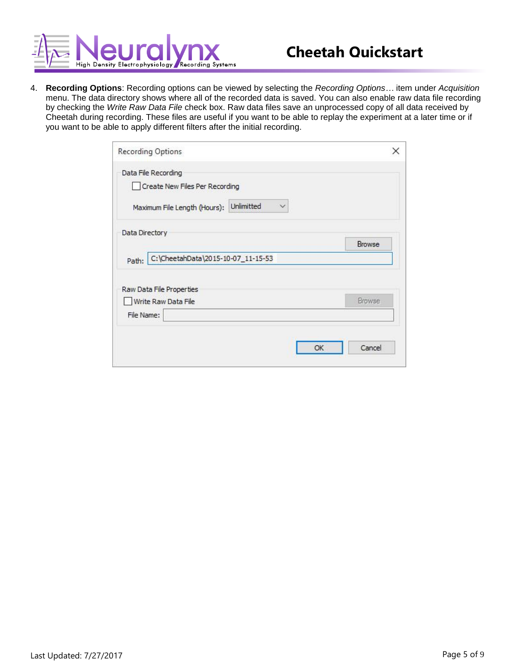

4. **Recording Options**: Recording options can be viewed by selecting the *Recording Options…* item under *Acquisition*  menu. The data directory shows where all of the recorded data is saved. You can also enable raw data file recording by checking the *Write Raw Data File* check box. Raw data files save an unprocessed copy of all data received by Cheetah during recording. These files are useful if you want to be able to replay the experiment at a later time or if you want to be able to apply different filters after the initial recording.

| Browse |
|--------|
|        |
|        |
|        |
| Browse |
|        |
|        |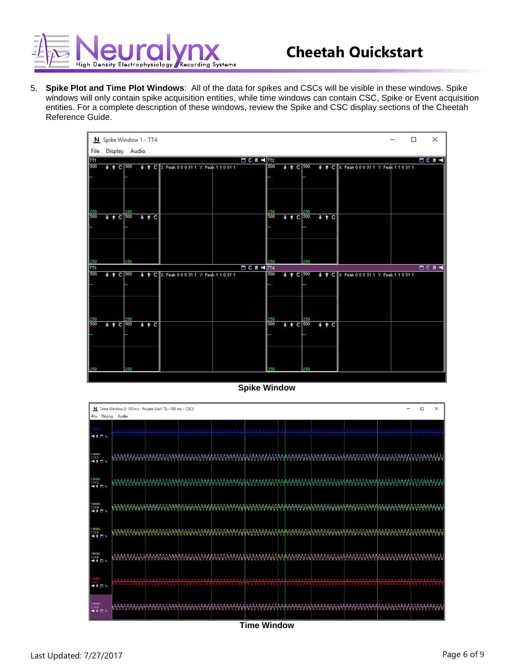

5. **Spike Plot and Time Plot Windows**: All of the data for spikes and CSCs will be visible in these windows. Spike windows will only contain spike acquisition entities, while time windows can contain CSC, Spike or Event acquisition entities. For a complete description of these windows, review the Spike and CSC display sections of the Cheetah Reference Guide.



**Spike Window**



**Time Window**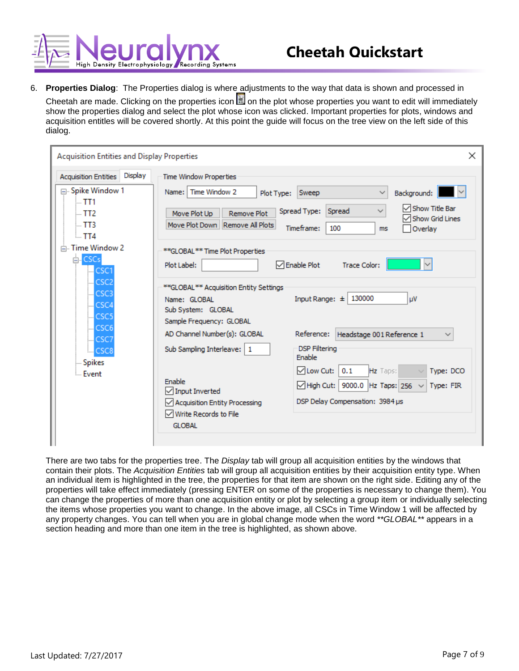

6. **Properties Dialog**: The Properties dialog is where adjustments to the way that data is shown and processed in Cheetah are made. Clicking on the properties icon  $\Box$  on the plot whose properties you want to edit will immediately show the properties dialog and select the plot whose icon was clicked. Important properties for plots, windows and acquisition entitles will be covered shortly. At this point the guide will focus on the tree view on the left side of this dialog.

| <b>Acquisition Entities and Display Properties</b>                                                                     | $\times$                                                                                                                                                                                                                                                                                                                                                                     |
|------------------------------------------------------------------------------------------------------------------------|------------------------------------------------------------------------------------------------------------------------------------------------------------------------------------------------------------------------------------------------------------------------------------------------------------------------------------------------------------------------------|
| Display<br><b>Acquisition Entities</b><br>⊟- Spike Window 1<br>$-111$<br>$-TT2$<br>$-TT3$<br>$-114$<br>□ Time Window 2 | <b>Time Window Properties</b><br>Time Window 2<br>$\sim$<br>Name: I<br>Sweep<br>Background:<br>Plot Type:<br>$\checkmark$<br>└ Show Title Bar<br>Spread<br>Spread Type:<br>$\checkmark$<br>Move Plot Up<br><b>Remove Plot</b><br><b>Show Grid Lines</b><br>Move Plot Down   Remove All Plots<br>Timeframe:<br>100<br>Overlay<br><b>ms</b><br>**GLOBAL** Time Plot Properties |
| $E$ -CSCs<br>L CSC1<br>L CSC2<br>CSC <sub>3</sub><br>L CSC4<br><b>CSC5</b><br>L CSC6                                   | $\sqrt{\ }$ Enable Plot<br>Plot Label:<br><b>Trace Color:</b><br>**GLOBAL** Acquisition Entity Settings<br>Input Range: $\pm$ 130000<br>μV<br>Name: GLOBAL<br>Sub System: GLOBAL<br>Sample Frequency: GLOBAL<br>AD Channel Number(s): GLOBAL<br>Reference:<br>Headstage 001 Reference 1<br>$\checkmark$                                                                      |
| L CSC7<br>LL CSC8<br><b>Spikes</b><br><b>Event</b>                                                                     | <b>DSP Filtering</b><br>Sub Sampling Interleave:   1<br><b>Enable</b><br>√ Low Cut:<br>0.1<br>Hz Taps:<br>Type: DCO<br>Enable<br>9000.0<br>$\sqrt{\mathsf{High Cut:}}$<br>Hz Taps: 256<br>Type: FIR<br>$\checkmark$<br>Input Inverted<br>DSP Delay Compensation: 3984 µs<br>√ Acquisition Entity Processing<br>$\sqrt{}$ Write Records to File<br><b>GLOBAL</b>              |

There are two tabs for the properties tree. The *Display* tab will group all acquisition entities by the windows that contain their plots. The *Acquisition Entities* tab will group all acquisition entities by their acquisition entity type. When an individual item is highlighted in the tree, the properties for that item are shown on the right side. Editing any of the properties will take effect immediately (pressing ENTER on some of the properties is necessary to change them). You can change the properties of more than one acquisition entity or plot by selecting a group item or individually selecting the items whose properties you want to change. In the above image, all CSCs in Time Window 1 will be affected by any property changes. You can tell when you are in global change mode when the word *\*\*GLOBAL\*\** appears in a section heading and more than one item in the tree is highlighted, as shown above.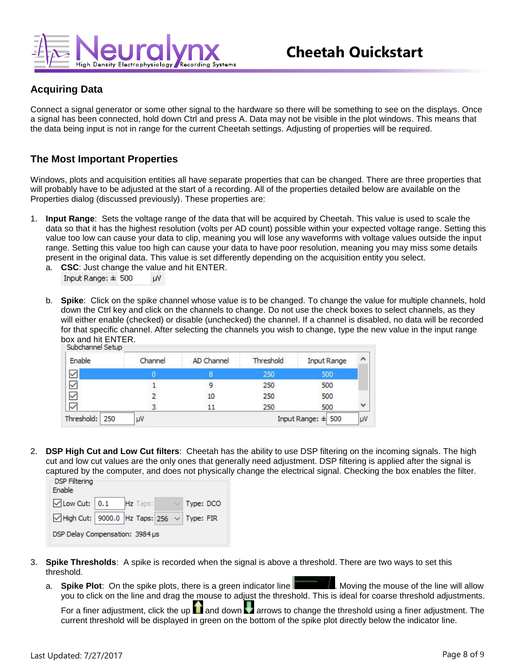

# **Acquiring Data**

Connect a signal generator or some other signal to the hardware so there will be something to see on the displays. Once a signal has been connected, hold down Ctrl and press A. Data may not be visible in the plot windows. This means that the data being input is not in range for the current Cheetah settings. Adjusting of properties will be required.

#### **The Most Important Properties**

Windows, plots and acquisition entities all have separate properties that can be changed. There are three properties that will probably have to be adjusted at the start of a recording. All of the properties detailed below are available on the Properties dialog (discussed previously). These properties are:

- 1. **Input Range**: Sets the voltage range of the data that will be acquired by Cheetah. This value is used to scale the data so that it has the highest resolution (volts per AD count) possible within your expected voltage range. Setting this value too low can cause your data to clip, meaning you will lose any waveforms with voltage values outside the input range. Setting this value too high can cause your data to have poor resolution, meaning you may miss some details present in the original data. This value is set differently depending on the acquisition entity you select. a. **CSC**: Just change the value and hit ENTER.
	- Input Range:  $\pm$  500 **DV**
	- b. **Spike**: Click on the spike channel whose value is to be changed. To change the value for multiple channels, hold down the Ctrl key and click on the channels to change. Do not use the check boxes to select channels, as they will either enable (checked) or disable (unchecked) the channel. If a channel is disabled, no data will be recorded for that specific channel. After selecting the channels you wish to change, type the new value in the input range box and hit ENTER.<br>Subchannel Setup

| Enable         | Channel | AD Channel | Threshold | Input Range | ۸ |
|----------------|---------|------------|-----------|-------------|---|
| $\checkmark$   |         |            | 250       | 500         |   |
| $\leq  \zeta $ |         |            | 250       | 500         |   |
|                |         | 10         | 250       | 500         |   |
|                |         |            | 250       | 500         | Ÿ |

2. **DSP High Cut and Low Cut filters**: Cheetah has the ability to use DSP filtering on the incoming signals. The high cut and low cut values are the only ones that generally need adjustment. DSP filtering is applied after the signal is captured by the computer, and does not physically change the electrical signal. Checking the box enables the filter.

| -DSP Filtering<br>Enable                                                |  |  |  |
|-------------------------------------------------------------------------|--|--|--|
| $\Box$ Low Cut: $\vert 0.1 \vert$ Hz Taps: $\vert \lor \vert$ Type: DCO |  |  |  |
| $\Box$ High Cut: 9000.0 Hz Taps: 256 $\lor$ Type: FIR                   |  |  |  |
| DSP Delay Compensation: 3984 µs                                         |  |  |  |

- 3. **Spike Thresholds**: A spike is recorded when the signal is above a threshold. There are two ways to set this threshold.
	- a. **Spike Plot**: On the spike plots, there is a green indicator line **The Common System**. Moving the mouse of the line will allow you to click on the line and drag the mouse to adjust the threshold. This is ideal for coarse threshold adjustments.

For a finer adjustment, click the up  $\Box$  and down  $\Box$  arrows to change the threshold using a finer adjustment. The current threshold will be displayed in green on the bottom of the spike plot directly below the indicator line.